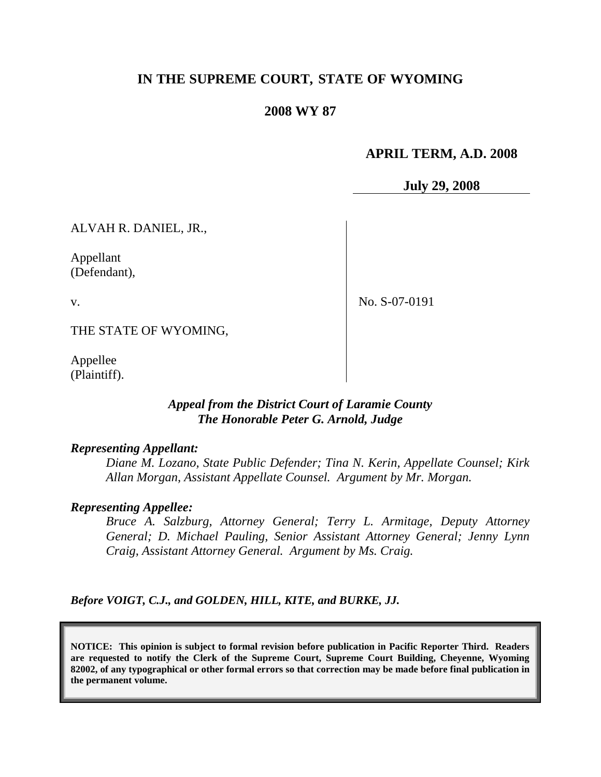# **IN THE SUPREME COURT, STATE OF WYOMING**

## **2008 WY 87**

## **APRIL TERM, A.D. 2008**

**July 29, 2008**

ALVAH R. DANIEL, JR.,

Appellant (Defendant),

v.

No. S-07-0191

THE STATE OF WYOMING,

Appellee (Plaintiff).

## *Appeal from the District Court of Laramie County The Honorable Peter G. Arnold, Judge*

### *Representing Appellant:*

*Diane M. Lozano, State Public Defender; Tina N. Kerin, Appellate Counsel; Kirk Allan Morgan, Assistant Appellate Counsel. Argument by Mr. Morgan.*

### *Representing Appellee:*

*Bruce A. Salzburg, Attorney General; Terry L. Armitage, Deputy Attorney General; D. Michael Pauling, Senior Assistant Attorney General; Jenny Lynn Craig, Assistant Attorney General. Argument by Ms. Craig.*

*Before VOIGT, C.J., and GOLDEN, HILL, KITE, and BURKE, JJ.*

**NOTICE: This opinion is subject to formal revision before publication in Pacific Reporter Third. Readers are requested to notify the Clerk of the Supreme Court, Supreme Court Building, Cheyenne, Wyoming 82002, of any typographical or other formal errors so that correction may be made before final publication in the permanent volume.**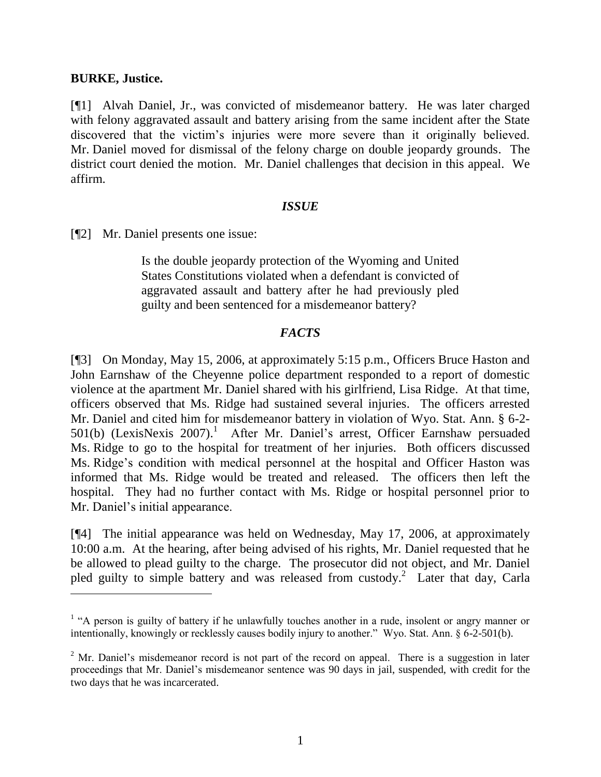## **BURKE, Justice.**

[¶1] Alvah Daniel, Jr., was convicted of misdemeanor battery. He was later charged with felony aggravated assault and battery arising from the same incident after the State discovered that the victim"s injuries were more severe than it originally believed. Mr. Daniel moved for dismissal of the felony charge on double jeopardy grounds. The district court denied the motion. Mr. Daniel challenges that decision in this appeal. We affirm.

## *ISSUE*

[¶2] Mr. Daniel presents one issue:

Is the double jeopardy protection of the Wyoming and United States Constitutions violated when a defendant is convicted of aggravated assault and battery after he had previously pled guilty and been sentenced for a misdemeanor battery?

# *FACTS*

[¶3] On Monday, May 15, 2006, at approximately 5:15 p.m., Officers Bruce Haston and John Earnshaw of the Cheyenne police department responded to a report of domestic violence at the apartment Mr. Daniel shared with his girlfriend, Lisa Ridge. At that time, officers observed that Ms. Ridge had sustained several injuries. The officers arrested Mr. Daniel and cited him for misdemeanor battery in violation of Wyo. Stat. Ann. § 6-2- 501(b) (LexisNexis 2007).<sup>1</sup> After Mr. Daniel's arrest, Officer Earnshaw persuaded Ms. Ridge to go to the hospital for treatment of her injuries. Both officers discussed Ms. Ridge"s condition with medical personnel at the hospital and Officer Haston was informed that Ms. Ridge would be treated and released. The officers then left the hospital. They had no further contact with Ms. Ridge or hospital personnel prior to Mr. Daniel's initial appearance.

[¶4] The initial appearance was held on Wednesday, May 17, 2006, at approximately 10:00 a.m. At the hearing, after being advised of his rights, Mr. Daniel requested that he be allowed to plead guilty to the charge. The prosecutor did not object, and Mr. Daniel pled guilty to simple battery and was released from custody. 2 Later that day, Carla

<sup>&</sup>lt;sup>1</sup> "A person is guilty of battery if he unlawfully touches another in a rude, insolent or angry manner or intentionally, knowingly or recklessly causes bodily injury to another." Wyo. Stat. Ann. § 6-2-501(b).

 $2<sup>2</sup>$  Mr. Daniel's misdemeanor record is not part of the record on appeal. There is a suggestion in later proceedings that Mr. Daniel"s misdemeanor sentence was 90 days in jail, suspended, with credit for the two days that he was incarcerated.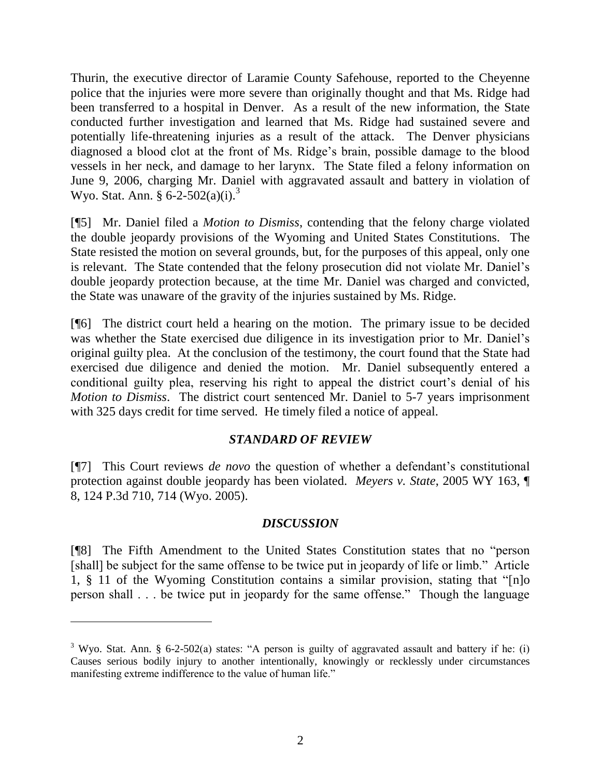Thurin, the executive director of Laramie County Safehouse, reported to the Cheyenne police that the injuries were more severe than originally thought and that Ms. Ridge had been transferred to a hospital in Denver. As a result of the new information, the State conducted further investigation and learned that Ms. Ridge had sustained severe and potentially life-threatening injuries as a result of the attack. The Denver physicians diagnosed a blood clot at the front of Ms. Ridge"s brain, possible damage to the blood vessels in her neck, and damage to her larynx. The State filed a felony information on June 9, 2006, charging Mr. Daniel with aggravated assault and battery in violation of Wyo. Stat. Ann. § 6-2-502(a)(i).<sup>3</sup>

[¶5] Mr. Daniel filed a *Motion to Dismiss*, contending that the felony charge violated the double jeopardy provisions of the Wyoming and United States Constitutions. The State resisted the motion on several grounds, but, for the purposes of this appeal, only one is relevant. The State contended that the felony prosecution did not violate Mr. Daniel"s double jeopardy protection because, at the time Mr. Daniel was charged and convicted, the State was unaware of the gravity of the injuries sustained by Ms. Ridge.

[¶6] The district court held a hearing on the motion. The primary issue to be decided was whether the State exercised due diligence in its investigation prior to Mr. Daniel's original guilty plea. At the conclusion of the testimony, the court found that the State had exercised due diligence and denied the motion. Mr. Daniel subsequently entered a conditional guilty plea, reserving his right to appeal the district court's denial of his *Motion to Dismiss*. The district court sentenced Mr. Daniel to 5-7 years imprisonment with 325 days credit for time served. He timely filed a notice of appeal.

## *STANDARD OF REVIEW*

[¶7] This Court reviews *de novo* the question of whether a defendant's constitutional protection against double jeopardy has been violated. *Meyers v. State*, 2005 WY 163, ¶ 8, 124 P.3d 710, 714 (Wyo. 2005).

## *DISCUSSION*

[¶8] The Fifth Amendment to the United States Constitution states that no "person [shall] be subject for the same offense to be twice put in jeopardy of life or limb." Article 1, § 11 of the Wyoming Constitution contains a similar provision, stating that "[n]o person shall . . . be twice put in jeopardy for the same offense." Though the language

 $\overline{a}$ 

<sup>&</sup>lt;sup>3</sup> Wyo. Stat. Ann. § 6-2-502(a) states: "A person is guilty of aggravated assault and battery if he: (i) Causes serious bodily injury to another intentionally, knowingly or recklessly under circumstances manifesting extreme indifference to the value of human life."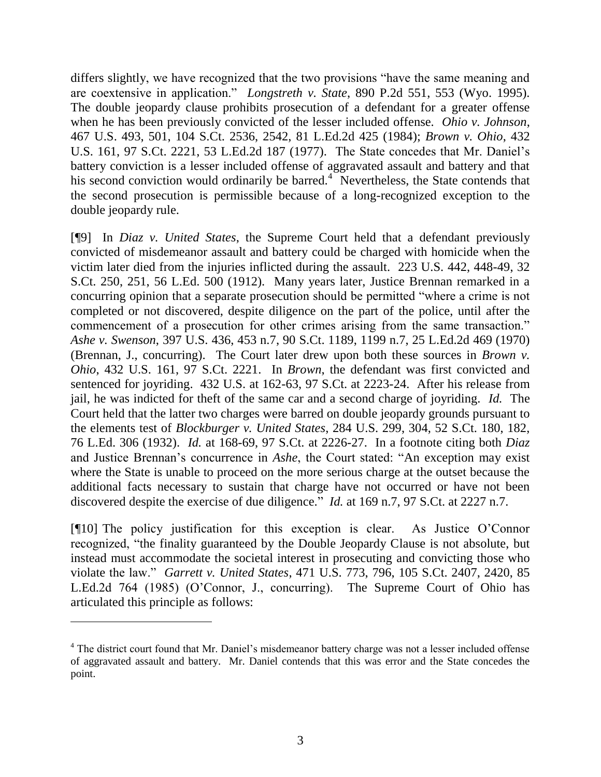differs slightly, we have recognized that the two provisions "have the same meaning and are coextensive in application." *Longstreth v. State*, 890 P.2d 551, 553 (Wyo. 1995). The double jeopardy clause prohibits prosecution of a defendant for a greater offense when he has been previously convicted of the lesser included offense. *Ohio v. Johnson*, 467 U.S. 493, 501, 104 S.Ct. 2536, 2542, 81 L.Ed.2d 425 (1984); *Brown v. Ohio*, 432 U.S. 161, 97 S.Ct. 2221, 53 L.Ed.2d 187 (1977). The State concedes that Mr. Daniel"s battery conviction is a lesser included offense of aggravated assault and battery and that his second conviction would ordinarily be barred.<sup>4</sup> Nevertheless, the State contends that the second prosecution is permissible because of a long-recognized exception to the double jeopardy rule.

[¶9] In *Diaz v. United States*, the Supreme Court held that a defendant previously convicted of misdemeanor assault and battery could be charged with homicide when the victim later died from the injuries inflicted during the assault. 223 U.S. 442, 448-49, 32 S.Ct. 250, 251, 56 L.Ed. 500 (1912). Many years later, Justice Brennan remarked in a concurring opinion that a separate prosecution should be permitted "where a crime is not completed or not discovered, despite diligence on the part of the police, until after the commencement of a prosecution for other crimes arising from the same transaction." *Ashe v. Swenson*, 397 U.S. 436, 453 n.7, 90 S.Ct. 1189, 1199 n.7, 25 L.Ed.2d 469 (1970) (Brennan, J., concurring). The Court later drew upon both these sources in *Brown v. Ohio*, 432 U.S. 161, 97 S.Ct. 2221. In *Brown*, the defendant was first convicted and sentenced for joyriding. 432 U.S. at 162-63, 97 S.Ct. at 2223-24. After his release from jail, he was indicted for theft of the same car and a second charge of joyriding. *Id.* The Court held that the latter two charges were barred on double jeopardy grounds pursuant to the elements test of *Blockburger v. United States*, 284 U.S. 299, 304, 52 S.Ct. 180, 182, 76 L.Ed. 306 (1932). *Id.* at 168-69, 97 S.Ct. at 2226-27. In a footnote citing both *Diaz* and Justice Brennan"s concurrence in *Ashe*, the Court stated: "An exception may exist where the State is unable to proceed on the more serious charge at the outset because the additional facts necessary to sustain that charge have not occurred or have not been discovered despite the exercise of due diligence." *Id.* at 169 n.7, 97 S.Ct. at 2227 n.7.

[¶10] The policy justification for this exception is clear. As Justice O"Connor recognized, "the finality guaranteed by the Double Jeopardy Clause is not absolute, but instead must accommodate the societal interest in prosecuting and convicting those who violate the law." *Garrett v. United States*, 471 U.S. 773, 796, 105 S.Ct. 2407, 2420, 85 L.Ed.2d 764 (1985) (O"Connor, J., concurring). The Supreme Court of Ohio has articulated this principle as follows:

 $\overline{a}$ 

<sup>&</sup>lt;sup>4</sup> The district court found that Mr. Daniel's misdemeanor battery charge was not a lesser included offense of aggravated assault and battery. Mr. Daniel contends that this was error and the State concedes the point.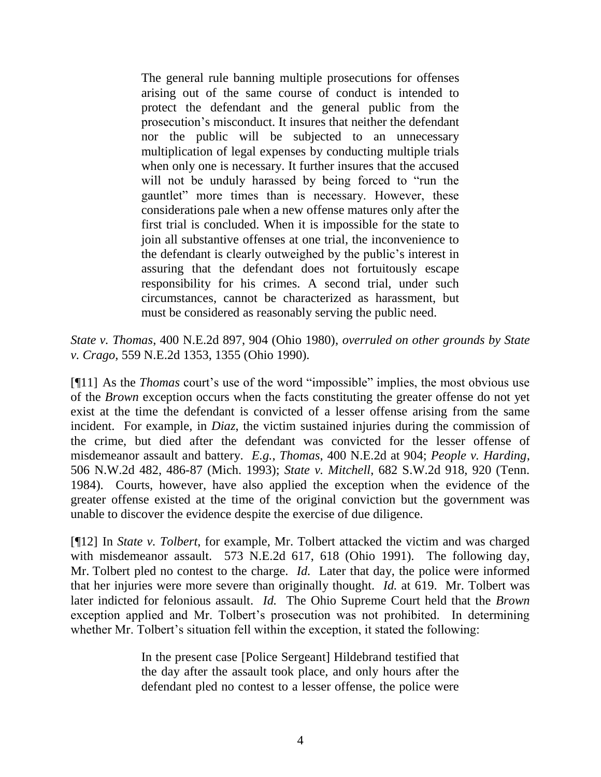The general rule banning multiple prosecutions for offenses arising out of the same course of conduct is intended to protect the defendant and the general public from the prosecution"s misconduct. It insures that neither the defendant nor the public will be subjected to an unnecessary multiplication of legal expenses by conducting multiple trials when only one is necessary. It further insures that the accused will not be unduly harassed by being forced to "run the gauntlet" more times than is necessary. However, these considerations pale when a new offense matures only after the first trial is concluded. When it is impossible for the state to join all substantive offenses at one trial, the inconvenience to the defendant is clearly outweighed by the public"s interest in assuring that the defendant does not fortuitously escape responsibility for his crimes. A second trial, under such circumstances, cannot be characterized as harassment, but must be considered as reasonably serving the public need.

*State v. Thomas*, 400 N.E.2d 897, 904 (Ohio 1980), *overruled on other grounds by State v. Crago*, 559 N.E.2d 1353, 1355 (Ohio 1990).

[¶11] As the *Thomas* court's use of the word "impossible" implies, the most obvious use of the *Brown* exception occurs when the facts constituting the greater offense do not yet exist at the time the defendant is convicted of a lesser offense arising from the same incident. For example, in *Diaz*, the victim sustained injuries during the commission of the crime, but died after the defendant was convicted for the lesser offense of misdemeanor assault and battery. *E.g.*, *Thomas*, 400 N.E.2d at 904; *People v. Harding*, 506 N.W.2d 482, 486-87 (Mich. 1993); *State v. Mitchell*, 682 S.W.2d 918, 920 (Tenn. 1984). Courts, however, have also applied the exception when the evidence of the greater offense existed at the time of the original conviction but the government was unable to discover the evidence despite the exercise of due diligence.

[¶12] In *State v. Tolbert*, for example, Mr. Tolbert attacked the victim and was charged with misdemeanor assault. 573 N.E.2d 617, 618 (Ohio 1991). The following day, Mr. Tolbert pled no contest to the charge. *Id.* Later that day, the police were informed that her injuries were more severe than originally thought. *Id.* at 619. Mr. Tolbert was later indicted for felonious assault. *Id.* The Ohio Supreme Court held that the *Brown* exception applied and Mr. Tolbert's prosecution was not prohibited. In determining whether Mr. Tolbert's situation fell within the exception, it stated the following:

> In the present case [Police Sergeant] Hildebrand testified that the day after the assault took place, and only hours after the defendant pled no contest to a lesser offense, the police were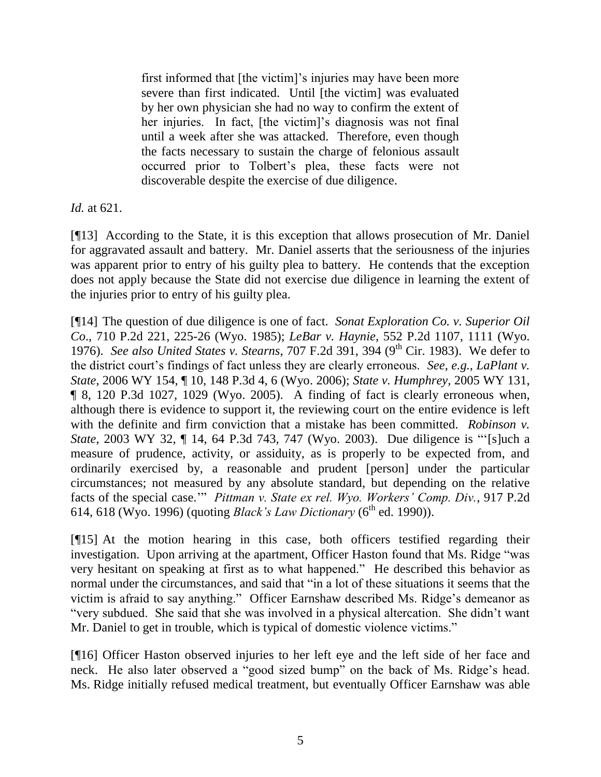first informed that [the victim]'s injuries may have been more severe than first indicated. Until [the victim] was evaluated by her own physician she had no way to confirm the extent of her injuries. In fact, [the victim]'s diagnosis was not final until a week after she was attacked. Therefore, even though the facts necessary to sustain the charge of felonious assault occurred prior to Tolbert"s plea, these facts were not discoverable despite the exercise of due diligence.

*Id.* at 621.

[¶13] According to the State, it is this exception that allows prosecution of Mr. Daniel for aggravated assault and battery. Mr. Daniel asserts that the seriousness of the injuries was apparent prior to entry of his guilty plea to battery. He contends that the exception does not apply because the State did not exercise due diligence in learning the extent of the injuries prior to entry of his guilty plea.

[¶14] The question of due diligence is one of fact. *Sonat Exploration Co. v. Superior Oil Co*., 710 P.2d 221, 225-26 (Wyo. 1985); *LeBar v. Haynie*, 552 P.2d 1107, 1111 (Wyo. 1976). *See also United States v. Stearns*, 707 F.2d 391, 394 (9<sup>th</sup> Cir. 1983). We defer to the district court"s findings of fact unless they are clearly erroneous. *See*, *e.g.*, *LaPlant v. State*, 2006 WY 154, ¶ 10, 148 P.3d 4, 6 (Wyo. 2006); *State v. Humphrey*, 2005 WY 131, ¶ 8, 120 P.3d 1027, 1029 (Wyo. 2005). A finding of fact is clearly erroneous when, although there is evidence to support it, the reviewing court on the entire evidence is left with the definite and firm conviction that a mistake has been committed. *Robinson v. State*, 2003 WY 32, ¶ 14, 64 P.3d 743, 747 (Wyo. 2003). Due diligence is ""[s]uch a measure of prudence, activity, or assiduity, as is properly to be expected from, and ordinarily exercised by, a reasonable and prudent [person] under the particular circumstances; not measured by any absolute standard, but depending on the relative facts of the special case."" *Pittman v. State ex rel. Wyo. Workers' Comp. Div.*, 917 P.2d 614, 618 (Wyo. 1996) (quoting *Black's Law Dictionary* (6<sup>th</sup> ed. 1990)).

[¶15] At the motion hearing in this case, both officers testified regarding their investigation. Upon arriving at the apartment, Officer Haston found that Ms. Ridge "was very hesitant on speaking at first as to what happened." He described this behavior as normal under the circumstances, and said that "in a lot of these situations it seems that the victim is afraid to say anything." Officer Earnshaw described Ms. Ridge's demeanor as "very subdued. She said that she was involved in a physical altercation. She didn"t want Mr. Daniel to get in trouble, which is typical of domestic violence victims."

[¶16] Officer Haston observed injuries to her left eye and the left side of her face and neck. He also later observed a "good sized bump" on the back of Ms. Ridge's head. Ms. Ridge initially refused medical treatment, but eventually Officer Earnshaw was able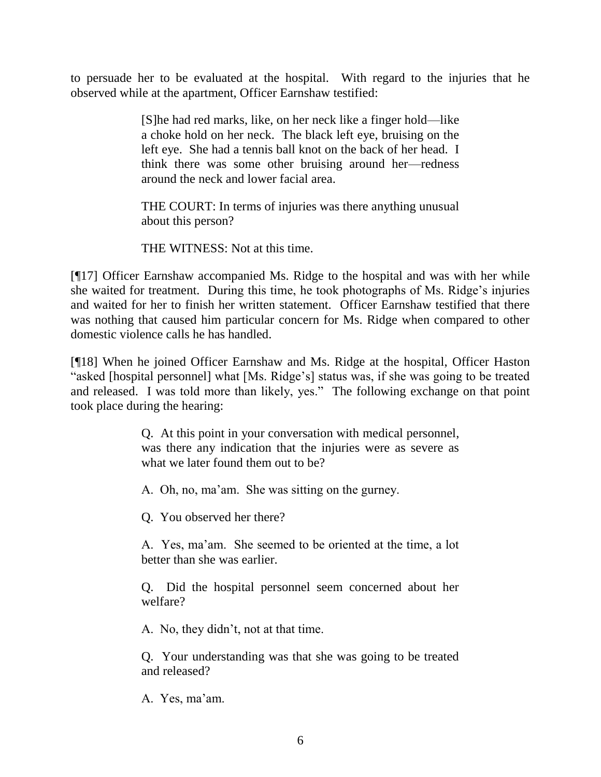to persuade her to be evaluated at the hospital. With regard to the injuries that he observed while at the apartment, Officer Earnshaw testified:

> [S]he had red marks, like, on her neck like a finger hold—like a choke hold on her neck. The black left eye, bruising on the left eye. She had a tennis ball knot on the back of her head. I think there was some other bruising around her—redness around the neck and lower facial area.

> THE COURT: In terms of injuries was there anything unusual about this person?

THE WITNESS: Not at this time.

[¶17] Officer Earnshaw accompanied Ms. Ridge to the hospital and was with her while she waited for treatment. During this time, he took photographs of Ms. Ridge"s injuries and waited for her to finish her written statement. Officer Earnshaw testified that there was nothing that caused him particular concern for Ms. Ridge when compared to other domestic violence calls he has handled.

[¶18] When he joined Officer Earnshaw and Ms. Ridge at the hospital, Officer Haston "asked [hospital personnel] what [Ms. Ridge"s] status was, if she was going to be treated and released. I was told more than likely, yes." The following exchange on that point took place during the hearing:

> Q. At this point in your conversation with medical personnel, was there any indication that the injuries were as severe as what we later found them out to be?

A. Oh, no, ma'am. She was sitting on the gurney.

Q. You observed her there?

A. Yes, ma"am. She seemed to be oriented at the time, a lot better than she was earlier.

Q. Did the hospital personnel seem concerned about her welfare?

A. No, they didn"t, not at that time.

Q. Your understanding was that she was going to be treated and released?

A. Yes, ma'am.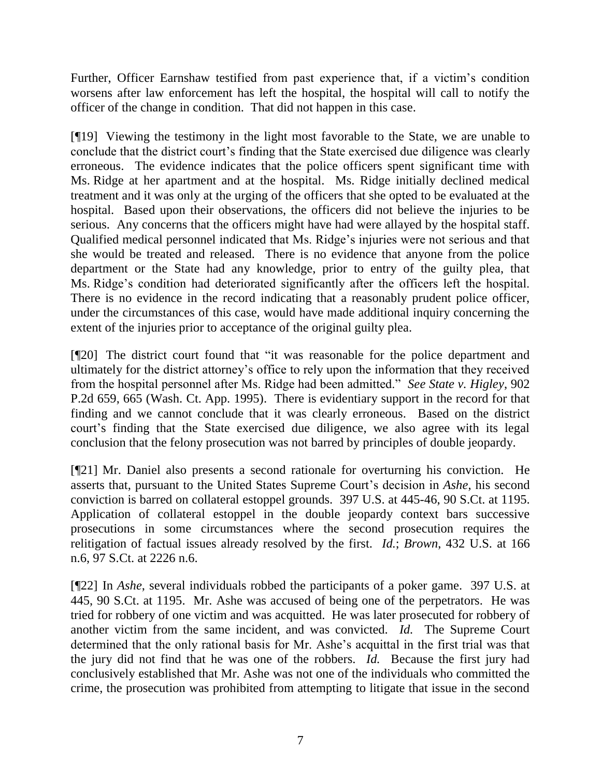Further, Officer Earnshaw testified from past experience that, if a victim's condition worsens after law enforcement has left the hospital, the hospital will call to notify the officer of the change in condition. That did not happen in this case.

[¶19] Viewing the testimony in the light most favorable to the State, we are unable to conclude that the district court's finding that the State exercised due diligence was clearly erroneous. The evidence indicates that the police officers spent significant time with Ms. Ridge at her apartment and at the hospital. Ms. Ridge initially declined medical treatment and it was only at the urging of the officers that she opted to be evaluated at the hospital. Based upon their observations, the officers did not believe the injuries to be serious. Any concerns that the officers might have had were allayed by the hospital staff. Qualified medical personnel indicated that Ms. Ridge"s injuries were not serious and that she would be treated and released. There is no evidence that anyone from the police department or the State had any knowledge, prior to entry of the guilty plea, that Ms. Ridge"s condition had deteriorated significantly after the officers left the hospital. There is no evidence in the record indicating that a reasonably prudent police officer, under the circumstances of this case, would have made additional inquiry concerning the extent of the injuries prior to acceptance of the original guilty plea.

[¶20] The district court found that "it was reasonable for the police department and ultimately for the district attorney"s office to rely upon the information that they received from the hospital personnel after Ms. Ridge had been admitted." *See State v. Higley*, 902 P.2d 659, 665 (Wash. Ct. App. 1995). There is evidentiary support in the record for that finding and we cannot conclude that it was clearly erroneous. Based on the district court's finding that the State exercised due diligence, we also agree with its legal conclusion that the felony prosecution was not barred by principles of double jeopardy.

[¶21] Mr. Daniel also presents a second rationale for overturning his conviction. He asserts that, pursuant to the United States Supreme Court"s decision in *Ashe*, his second conviction is barred on collateral estoppel grounds. 397 U.S. at 445-46, 90 S.Ct. at 1195. Application of collateral estoppel in the double jeopardy context bars successive prosecutions in some circumstances where the second prosecution requires the relitigation of factual issues already resolved by the first. *Id.*; *Brown*, 432 U.S. at 166 n.6, 97 S.Ct. at 2226 n.6.

[¶22] In *Ashe*, several individuals robbed the participants of a poker game. 397 U.S. at 445, 90 S.Ct. at 1195. Mr. Ashe was accused of being one of the perpetrators. He was tried for robbery of one victim and was acquitted. He was later prosecuted for robbery of another victim from the same incident, and was convicted. *Id.* The Supreme Court determined that the only rational basis for Mr. Ashe"s acquittal in the first trial was that the jury did not find that he was one of the robbers. *Id.* Because the first jury had conclusively established that Mr. Ashe was not one of the individuals who committed the crime, the prosecution was prohibited from attempting to litigate that issue in the second